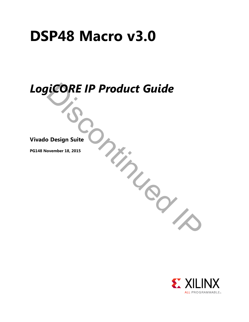# **DSP48 Macro v3.0**

# *LogiCORE IP Product Guide*

Discontinued IP

**Vivado Design Suite**

**PG148 November 18, 2015**

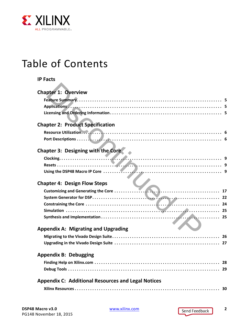

# Table of Contents

| <b>IP Facts</b>                                           |
|-----------------------------------------------------------|
| <b>Chapter 1: Overview</b>                                |
|                                                           |
|                                                           |
|                                                           |
| <b>Chapter 2: Product Specification</b>                   |
|                                                           |
|                                                           |
| <b>Chapter 3: Designing with the Core</b>                 |
|                                                           |
|                                                           |
|                                                           |
| <b>Chapter 4: Design Flow Steps</b>                       |
|                                                           |
|                                                           |
|                                                           |
|                                                           |
|                                                           |
| <b>Appendix A: Migrating and Upgrading</b>                |
|                                                           |
|                                                           |
| <b>Appendix B: Debugging</b>                              |
|                                                           |
|                                                           |
| <b>Appendix C: Additional Resources and Legal Notices</b> |
|                                                           |
|                                                           |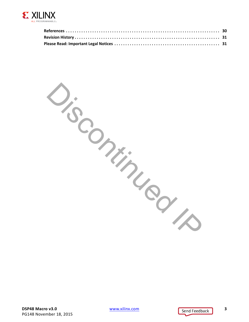

Discontinued I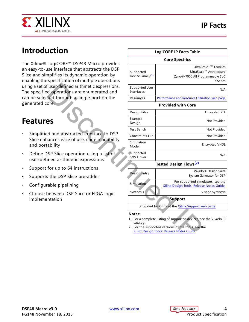## **IP Facts**



# **Introduction**

The Xilinx® LogiCORE™ DSP48 Macro provides an easy-to-use interface that abstracts the DSP Slice and simplifies its dynamic operation by enabling the specification of multiple operations using a set of user-defined arithmetic expressions. The specified operations are enumerated and can be selected through a single port on the generated core.

# **Features**

- Simplified and abstracted interface to DSP Slice enhances ease of use, code readability and portability
- Define DSP Slice operation using a list of user-defined arithmetic expressions
- Support for up to 64 instructions
- Supports the DSP Slice pre-adder
- Configurable pipelining
- Choose between DSP Slice or FPGA logic implementation

<span id="page-3-0"></span>

| uction                                                                                                                                              | <b>LogiCORE IP Facts Table</b>            |                                                                                                                                                                       |  |  |
|-----------------------------------------------------------------------------------------------------------------------------------------------------|-------------------------------------------|-----------------------------------------------------------------------------------------------------------------------------------------------------------------------|--|--|
|                                                                                                                                                     | <b>Core Specifics</b>                     |                                                                                                                                                                       |  |  |
| LogiCORE™ DSP48 Macro provides<br>use interface that abstracts the DSP<br>mplifies its dynamic operation by<br>specification of multiple operations | Supported<br>Device Family <sup>(1)</sup> | UltraScale+ <sup>™</sup> Families<br>UltraScale™ Architecture<br>Zynq®-7000 All Programmable SoC<br>7 Series                                                          |  |  |
| fuser-defined arithmetic expressions.<br>d operations are enumerated and                                                                            | Supported User<br>Interfaces              | N/A                                                                                                                                                                   |  |  |
| ted through a single port on the                                                                                                                    | Resources                                 | Performance and Resource Utilization web page                                                                                                                         |  |  |
| ore.                                                                                                                                                | <b>Provided with Core</b>                 |                                                                                                                                                                       |  |  |
|                                                                                                                                                     | Design Files                              | Encrypted RTL                                                                                                                                                         |  |  |
| es                                                                                                                                                  | Example<br>Design                         | Not Provided                                                                                                                                                          |  |  |
|                                                                                                                                                     | Test Bench                                | Not Provided                                                                                                                                                          |  |  |
| ed and abstracted interface to DSP<br>nances ease of use, code readability                                                                          | <b>Constraints File</b>                   | Not Provided                                                                                                                                                          |  |  |
| tability                                                                                                                                            | Simulation<br>Model                       | <b>Encrypted VHDL</b>                                                                                                                                                 |  |  |
| OSP Slice operation using a list of<br>ined arithmetic expressions                                                                                  | Supported<br>S/W Driver                   | N/A                                                                                                                                                                   |  |  |
| for up to 64 instructions                                                                                                                           |                                           | <b>Tested Design Flows<sup>(2)</sup></b>                                                                                                                              |  |  |
| s the DSP Slice pre-adder                                                                                                                           | <b>Design Entry</b>                       | Vivado <sup>®</sup> Design Suite<br>System Generator for DSP                                                                                                          |  |  |
| rable pipelining                                                                                                                                    | Simulation                                | For supported simulators, see the<br>Xilinx Design Tools: Release Notes Guide.                                                                                        |  |  |
| between DSP Slice or FPGA logic<br>ntation!                                                                                                         | Synthesis                                 | Vivado Synthesis<br><b>Support</b>                                                                                                                                    |  |  |
|                                                                                                                                                     |                                           | Provided by Xilinx at the Xilinx Support web page                                                                                                                     |  |  |
|                                                                                                                                                     | Notes:<br>catalog.                        | 1. For a complete listing of supported devices, see the Vivado IP<br>2. For the supported versions of the tools, see the<br>Xilinx Design Tools: Release Notes Guide. |  |  |

#### **Notes:**

- <span id="page-3-1"></span>1. For a complete listing of supported devices, see the Vivado IP catalog.
- <span id="page-3-2"></span>2. For the supported versions of the tools, see the Xilinx Design Tools: Release Notes Guide.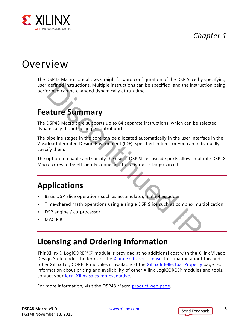*Chapter 1*



# <span id="page-4-0"></span>Overview

The DSP48 Macro core allows straightforward configuration of the DSP Slice by specifying user-defined instructions. Multiple instructions can be specified, and the instruction being performed can be changed dynamically at run time.

# <span id="page-4-1"></span>**Feature Summary**

The DSP48 Macro core supports up to 64 separate instructions, which can be selected dynamically though a single control port.

The pipeline stages in the core can be allocated automatically in the user interface in the Vivado® Integrated Design Environment (IDE), specified in tiers, or you can individually specify them. defined instructions. Multiple instructions can be specified, and the instructions correlates are be changed dynamically at run time.<br> **Structure Summary**<br>
DSP48 Macro core supports up to 64 separate instructions, which ca

The option to enable and specify the use of DSP Slice cascade ports allows multiple DSP48 Macro cores to be efficiently connected to construct a larger circuit.

# <span id="page-4-2"></span>**Applications**

- Basic DSP Slice operations such as accumulator, multiplier, adder
- Time-shared math operations using a single DSP Slice such as complex multiplication
- DSP engine / co-processor
- MAC FIR

# <span id="page-4-3"></span>**Licensing and Ordering Information**

This Xilinx® LogiCORE™ IP module is provided at no additional cost with the Xilinx Vivado Design Suite under the terms of the [Xilinx End User License](http://www.xilinx.com/cgi-bin/docs/rdoc?d=end-user-license-agreement.txt). Information about this and other Xilinx LogiCORE IP modules is available at the [Xilinx Intellectual Property](http://www.xilinx.com/products/intellectual-property.html) page. For information about pricing and availability of other Xilinx LogiCORE IP modules and tools, contact your [local Xilinx sales representative.](http://www.xilinx.com/about/contact.html)

For more information, visit the DSP48 Macro [product web page](http://www.xilinx.com/products/intellectual-property/dsp48_macro.htm).

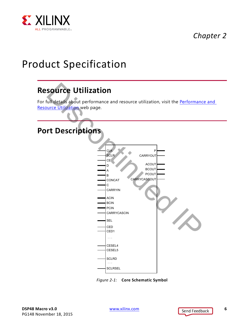

# *Chapter 2*

# <span id="page-5-0"></span>Product Specification

# <span id="page-5-1"></span>**Resource Utilization**

For full details about performance and resource utilization, visit the Performance and [Resource Utilization](www.xilinx.com/cgi-bin/docs/ndoc?t=ip+ru;d=xbip-dsp48-macro.html) web page.

## <span id="page-5-3"></span><span id="page-5-2"></span>**Port Descriptions**



*Figure 2-1:* **Core Schematic Symbol**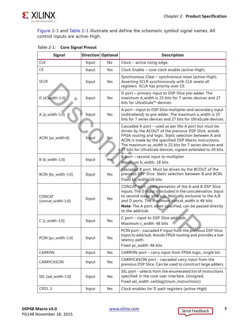

[Figure 2-1](#page-5-3) and [Table 2-1](#page-6-0) illustrate and define the schematic symbol signal names. All control inputs are active-High.

| <b>Signal</b>                       | Direction Optional |     | <b>Description</b>                                                                                                                                                                                                                                                                                                                                          |  |
|-------------------------------------|--------------------|-----|-------------------------------------------------------------------------------------------------------------------------------------------------------------------------------------------------------------------------------------------------------------------------------------------------------------------------------------------------------------|--|
| <b>CLK</b>                          | Input              | No  | Clock - active rising edge.                                                                                                                                                                                                                                                                                                                                 |  |
| <b>CE</b>                           | Input              | Yes | Clock Enable - core clock enable (active-High).                                                                                                                                                                                                                                                                                                             |  |
| <b>SCLR</b>                         | Input              | Yes | Synchronous Clear - synchronous reset (active-High).<br>Asserting SCLR synchronously with CLK resets all<br>registers. SCLR has priority over CE.                                                                                                                                                                                                           |  |
| D [d_width-1:0]                     | Input              | Yes | D port – primary input to DSP Slice pre-adder. The<br>maximum d_width is 25 bits for 7 series devices and 27<br>bits for UltraScale™ devices.                                                                                                                                                                                                               |  |
| A $[a_width-1:0]$                   | Input              | Yes | A port - input to DSP Slice multiplier and secondary input<br>(subtrahend) to pre-adder. The maximum a_width is 25<br>bits for 7 series devices and 27 bits for UltraScale devices.                                                                                                                                                                         |  |
| ACIN [ac_width:0]                   | Input              | Yes | Cascaded A port – used as per the A port but must be<br>driven by the ACOUT of the previous DSP Slice, avoids<br>FPGA routing and logic. Static selection between A and<br>ACIN is made by the specified DSP Macro instructions.<br>The maximum ac width is 25 bits for 7 series devices and<br>27 bits for UltraScale devices, signed-extended to 30 bits. |  |
| B [b_width-1:0]                     | Input              | Yes | B port – second input to multiplier.<br>Maximum b_width: 18 bits                                                                                                                                                                                                                                                                                            |  |
| BCIN [bc_width-1:0]                 | Input              | Yes | Cascaded B port. Must be driven by the BCOUT of the<br>previous DSP Slice. Static selection between B and BCIN.<br>Fixed bc_width: 18 bits                                                                                                                                                                                                                  |  |
| <b>CONCAT</b><br>[concat_width-1:0] | Input              | Yes | CONCAT port - concatenation of the A and B DSP Slice<br>inputs. The D input is included in the concatenation. Input<br>to second stage add/sub. Mutually exclusive to the A,B<br>and D ports. The maximum concat_width is 48 bits.<br>Note: The A port, when specified, can be passed directly<br>to the add/sub.                                           |  |
| $C$ [ $c$ _width-1:0]               | Input              | Yes | C port - input to DSP Slice add/sub.<br>Maximum c_width: 48 bits                                                                                                                                                                                                                                                                                            |  |
| PCIN [pc_width-1:0]                 | Input              | Yes | PCIN port - cascaded P input from the previous DSP Slice.<br>Input to add/sub. Avoids FPGA routing and provides a low<br>latency path.<br>Fixed pc_width: 48 bits                                                                                                                                                                                           |  |
| CARRYIN                             | Input              | Yes | CARRYIN port - carry input from FPGA logic, single bit.                                                                                                                                                                                                                                                                                                     |  |
| CARRYCASCIN                         | Input              | Yes | CARRYCASCIN port - cascaded carry input from the<br>previous DSP Slice. Can be used to construct large adders.                                                                                                                                                                                                                                              |  |
| SEL [sel_width-1:0]                 | Input              | Yes | SEL port - selects from the enumerated list of instructions<br>specified in the core user interface. Unsigned.<br>Fixed sel_width: ceil(log2(num_instructions))                                                                                                                                                                                             |  |
| CED13                               | Input              | Yes | Clock enables for D path registers (active-High)                                                                                                                                                                                                                                                                                                            |  |

#### <span id="page-6-1"></span><span id="page-6-0"></span>*Table 2-1:* **Core Signal Pinout**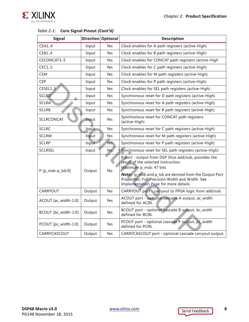

| <b>Signal</b>        | Direction Optional |     | <b>Description</b>                                                                                                                                                              |  |
|----------------------|--------------------|-----|---------------------------------------------------------------------------------------------------------------------------------------------------------------------------------|--|
| CEA14                | Input              | Yes | Clock enables for A path registers (active-High)                                                                                                                                |  |
| CEB14                | Input              | Yes | Clock enables for B path registers (active-High)                                                                                                                                |  |
| CECONCAT35           | Input              | Yes | Clock enables for CONCAT path registers (active-High                                                                                                                            |  |
| CEC15                | Input              | Yes | Clock enables for C path registers (active-High)                                                                                                                                |  |
| <b>CEM</b>           | Input              | Yes | Clock enables for M path registers (active-High)                                                                                                                                |  |
| CEP                  | Input              | Yes | Clock enables for P path registers (active-High)                                                                                                                                |  |
| CESEL1.5             | Input              | Yes | Clock enables for SEL path registers (active-High)                                                                                                                              |  |
| <b>SCLRD</b>         | Input              | Yes | Synchronous reset for D path registers (active-High)                                                                                                                            |  |
| <b>SCLRA</b>         | Input              | Yes | Synchronous reset for A path registers (active-High)                                                                                                                            |  |
| <b>SCLRB</b>         | Input              | Yes | Synchronous reset for B path registers (active-High)                                                                                                                            |  |
| <b>SCLRCONCAT</b>    | Input              | Yes | Synchronous reset for CONCAT path registers<br>(active-High)                                                                                                                    |  |
| <b>SCLRC</b>         | Input              | Yes | Synchronous reset for C path registers (active-High)                                                                                                                            |  |
| <b>SCLRM</b>         | Input              | Yes | Synchronous reset for M path registers (active-High)                                                                                                                            |  |
| <b>SCLRP</b>         | Input              | Yes | Synchronous reset for P path registers (active-High)                                                                                                                            |  |
| <b>SCLRSEL</b>       | Input              | Yes | Synchronous reset for SEL path registers (active-High)                                                                                                                          |  |
| P [p_msb-p_lsb:0]    | Output             | No  | P port - output from DSP Slice add/sub, provides the<br>result of the selected instruction.<br>Maximum p_msb: 47 bits<br>Note: p_msb and p_lsb are derived from the Output Port |  |
|                      |                    |     | Properties; Full Precision Width and Width. See<br>Implementation Page for more details.                                                                                        |  |
| CARRYOUT             | Output             | Yes | CARRYOUT port - carryout to FPGA logic from add/sub.                                                                                                                            |  |
| ACOUT [ac_width-1:0] | Output             | Yes | ACOUT port - optional cascade A output, ac_width<br>defined for ACIN.                                                                                                           |  |
| BCOUT [bc_width-1:0] | Output             | Yes | BCOUT port - optional cascade B output, bc_width<br>defined for BCIN.                                                                                                           |  |
| PCOUT [pc_width-1:0] | Output             | Yes | PCOUT port - optional cascade P output, pc_width<br>defined for PCIN.                                                                                                           |  |
| CARRYCASCOUT         | Output             | Yes | CARRYCASCOUT port - optional cascade carryout output.                                                                                                                           |  |

#### *Table 2-1:* **Core Signal Pinout** *(Cont'd)*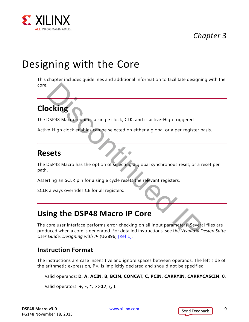

# *Chapter 3*

# <span id="page-8-0"></span>Designing with the Core

This chapter includes guidelines and additional information to facilitate designing with the core.

# <span id="page-8-1"></span>**Clocking**

The DSP48 Macro requires a single clock, CLK, and is active-High triggered.

Active-High clock enables can be selected on either a global or a per-register basis.

## <span id="page-8-2"></span>**Resets**

The DSP48 Macro has the option of selecting a global synchronous reset, or a reset per path.

Asserting an SCLR pin for a single cycle resets the relevant registers.

SCLR always overrides CE for all registers.

# <span id="page-8-5"></span><span id="page-8-3"></span>**Using the DSP48 Macro IP Core**

The core user interface performs error-checking on all input parameters. Several files are produced when a core is generated. For detailed instructions, see the *Vivado® Design Suite User Guide, Designing with IP* (UG896) [Ref 1]. SCRIPT UNITE CONTROLLER CONTROLLER CONTROLLER CONTROLLER<br>
THE VIDEO CONTROLLER CONTROLLER CONTROLLER CONTROLLER CONTROLLER CONTROLLER CONTROLLER CONTROLLER CONTROLLER<br>
The DISPAR Macro has the option of selecting a global

#### <span id="page-8-4"></span>**Instruction Format**

The instructions are case insensitive and ignore spaces between operands. The left side of the arithmetic expression, P=, is implicitly declared and should not be specified

Valid operands: **D, A, ACIN, B, BCIN, CONCAT, C, PCIN, CARRYIN, CARRYCASCIN, 0**.

Valid operators: **+, -, \*, >>17, (, )**.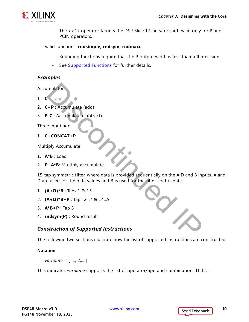

- The >>17 operator targets the DSP Slice 17-bit wire shift; valid only for P and PCIN operators.

#### Valid functions: **rndsimple, rndsym, rndmacc**

- Rounding functions require that the P output width is less than full precision.
- See [Supported Functions](#page-12-0) for further details.

#### *Examples*

Accumulator

- 1. **C** : Load
- 2. **C+P** : Accumulate (add)
- 3. **P-C** : Accumulate (subtract)

Three input add:

1. **C+CONCAT+P**

Multiply Accumulate

- 1. **A\*B** : Load
- 2. **P+A\*B**: Multiply accumulate

15-tap symmetric filter, where data is provided sequentially on the A,D and B inputs. A and D are used for the data values and B is used for the filter coefficients. Imulator<br>
I-P: Accumulate (add)<br>
-C: Accumulate (subtract)<br>
e input add:<br>
I-CONCAT+P<br>
Iply Accumulate<br>
YB : Load<br>
P+A\*B: Multiply accumulate<br>
A\*B : Multiply accumulate<br>
A\*B : Multiply accumulate<br>
A\*B : Multiply accumulate<br>

- 1. **(A+D)\*B** : Taps 1 & 15
- 2. **(A+D)\*B+P** : Taps 2...7 & 14...9
- 3. **A\*B+P** : Tap 8
- 4. **rndsym(P)** : Round result

#### *Construction of Supported Instructions*

The following two sections illustrate how the list of supported instructions are constructed.

#### **Notation**

*varname* = [ l1,l2,....]

This indicates *varname* supports the list of operator/operand combinations 11, 12, ....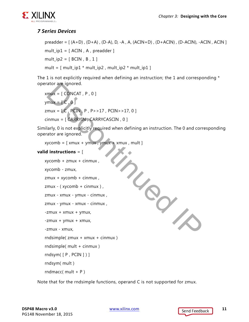

#### *7 Series Devices*

```
preadder = [(A+D), (D+A), (D-A), D, -A, A, (ACIN+D), (D+ACIN), (D-ACIN), -ACIN, ACIN]mult_ip1 = [ ACIN, A, preadder ]mult_ip2 = [BCIN, B, 1]mult = [ mult_ip1 * mult_ip2 , mult_ip2 * mult_ip1 ]
```
The 1 is not explicitly required when defining an instruction; the 1 and corresponding  $*$ operator are ignored.

```
xmux = [ CONCAT, P, 0 ]ymux = [ C , 0 ]zmux = [ C, PCIN, P, P>>17, PCIN>>17, 0 ]cinmux = [ CARRYIN , CARRYCASCIN , 0 ]
```
Similarly, 0 is not explicitly required when defining an instruction. The 0 and corresponding operator are ignored.

 $xycomb = [xmu + ymu, ymu + x + xmu]$ Discontinued IP

#### **valid instructions** = [

```
xycomb + zmux + cinmux ,
```
xycomb - zmux,

```
zmux + xycomb + cinmux ,
```

```
zmux - ( xycomb + cinmux ) ,
```

```
zmux - xmux - ymux - cinmux ,
```

```
zmux - ymux - xmux - cinmux ,
```

```
-zmux + xmux + ymux,
```

```
-zmux + ymux + xmux,
```

```
-zmux - xmux,
```

```
rndsimple( zmux + xmux + cinmux )
```

```
rndsimple( mult + cinmux )
```

```
rndsym( [ P , PCIN ] ) ]
```

```
rndsym( mult )
```

```
rndmacc(mult + P)
```
Note that for the rndsimple functions, operand C is not supported for zmux.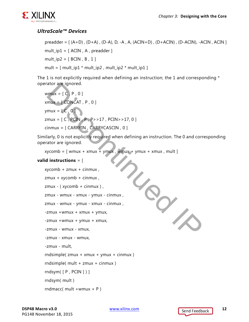

#### *UltraScale™ Devices*

```
preadder = [(A+D), (D+A), (D-A), D, -A, A, (ACIN+D), (D+ACIN), (D-ACIN), -ACIN, ACIN]mult_ip1 = [ACIN, A, preadder]mult_ip2 = [BCIN, B, 1]mult = [ mult_ip1 * mult_ip2, mult_ip2 * mult_ip1 ]
```
The 1 is not explicitly required when defining an instruction; the 1 and corresponding  $*$ operator are ignored.

```
wmux = [C, P, 0]xmux = [ CONCAT, P, 0 ]vmux = [C, 0]zmux = [ C, PCIN, P, P>>17, PCIN>>17, 0 ]cinmux = [ CARRYIN , CARRYCASCIN , 0 ]
```
Similarly, 0 is not explicitly required when defining an instruction. The 0 and corresponding operator are ignored.

 $xycomb = [$  wmux + xmux + ymux , wmux + ymux + xmux , mult ]

#### **valid instructions** = [

```
xycomb + zmux + cinmux ,
zmux + xycomb + cinmux ,
zmux - ( xycomb + cinmux ) ,
zmux - wmux - xmux - ymux - cinmux ,
zmux - wmux - ymux - xmux - cinmux ,
-zmux +wmux + xmux + ymux,
-zmux +wmux + ymux + xmux,
-zmux - wmux - xmux,
-zmux - xmux - wmux,
-zmux - mult,
rndsimple( zmux + xmux + ymux + cinmux )
rndsimple( mult + zmux + cinmux )
rndsym( [ P , PCIN ] ) ]
rndsym( mult )
rndmacc( mult +wmux + P)
                             Discontinued IP
```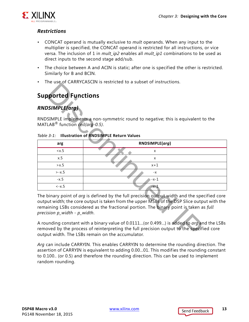

#### *Restrictions*

- CONCAT operand is mutually exclusive to *mult* operands. When any input to the multiplier is specified, the CONCAT operand is restricted for all instructions, or vice versa. The inclusion of 1 in *mult\_ip2* enables all *mult\_ip1* combinations to be used as direct inputs to the second stage add/sub.
- The choice between A and ACIN is static; after one is specified the other is restricted. Similarly for B and BCIN.
- The use of CARRYCASCIN is restricted to a subset of instructions.

## <span id="page-12-0"></span>**Supported Functions**

#### <span id="page-12-1"></span>*RNDSIMPLE(arg)*

| THE USE OF CARRICASCITY IS TESTRICTED TO A SUDSET OF INSTITUTIONS. |                                                                                                                                                                                                                                                                                                                                                                                                                                                                                                                                    |  |  |  |
|--------------------------------------------------------------------|------------------------------------------------------------------------------------------------------------------------------------------------------------------------------------------------------------------------------------------------------------------------------------------------------------------------------------------------------------------------------------------------------------------------------------------------------------------------------------------------------------------------------------|--|--|--|
|                                                                    | <b>Supported Functions</b>                                                                                                                                                                                                                                                                                                                                                                                                                                                                                                         |  |  |  |
| RNDSIMPLE(arg)                                                     |                                                                                                                                                                                                                                                                                                                                                                                                                                                                                                                                    |  |  |  |
| MATLAB <sup>®</sup> function <i>ceil(arg-0.5)</i> .                | RNDSIMPLE implements a non-symmetric round to negative; this is equivalent to the                                                                                                                                                                                                                                                                                                                                                                                                                                                  |  |  |  |
|                                                                    | Table 3-1: Illustration of RNDSIMPLE Return Values                                                                                                                                                                                                                                                                                                                                                                                                                                                                                 |  |  |  |
| arg                                                                | RNDSIMPLE(arg)                                                                                                                                                                                                                                                                                                                                                                                                                                                                                                                     |  |  |  |
| $\langle x.5$                                                      | X                                                                                                                                                                                                                                                                                                                                                                                                                                                                                                                                  |  |  |  |
| x.5                                                                | $\pmb{\times}$                                                                                                                                                                                                                                                                                                                                                                                                                                                                                                                     |  |  |  |
| > x.5                                                              | $x + 1$                                                                                                                                                                                                                                                                                                                                                                                                                                                                                                                            |  |  |  |
| $>-x.5$                                                            | $-x$                                                                                                                                                                                                                                                                                                                                                                                                                                                                                                                               |  |  |  |
| $-x.5$                                                             | -x-1                                                                                                                                                                                                                                                                                                                                                                                                                                                                                                                               |  |  |  |
| $\leftarrow$ $x.5$                                                 | $-x-1$                                                                                                                                                                                                                                                                                                                                                                                                                                                                                                                             |  |  |  |
| precision p_width - p_width.                                       | The binary point of arg is defined by the full precision output width and the specified core<br>output width; the core output is taken from the upper MSBs of the DSP Slice output with the<br>remaining LSBs considered as the fractional portion. The binary point is taken as full<br>A rounding constant with a binary value of 0.0111(or 0.499) is added to arg and the LSBs<br>removed by the process of reinterpreting the full precision output to the specified core<br>output width. The LSBs remain on the accumulator. |  |  |  |

#### *Table 3-1:* **Illustration of RNDSIMPLE Return Values**

*Arg* can include CARRYIN. This enables CARRYIN to determine the rounding direction. The assertion of CARRYIN is equivalent to adding 0.00...01. This modifies the rounding constant to 0.100.. (or 0.5) and therefore the rounding direction. This can be used to implement random rounding.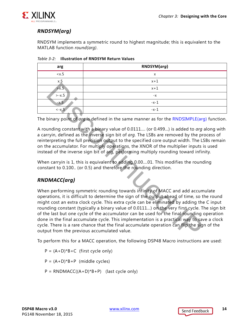

#### *RNDSYM(arg)*

RNDSYM implements a symmetric round to highest magnitude; this is equivalent to the MATLAB function *round(arg)*.

| arg      | RNDSYM(arg) |
|----------|-------------|
| < x.5    | x           |
| x.5      | $x + 1$     |
| > x.5    | $x + 1$     |
| $>-x.5$  | $-X$        |
| $-x.5$   | $-x-1$      |
| $- x.5 $ | $-x-1$      |

*Table 3-2:* **Illustration of RNDSYM Return Values**

The binary point of *arg* is defined in the same manner as for the RNDSIMPLE(arg) function.

A rounding constant with a binary value of 0.0111.... (or 0.499...) is added to *arg* along with a carryin, defined as the inverse sign bit of *arg.* The LSBs are removed by the process of reinterpreting the full precision output to the specified core output width. The LSBs remain on the accumulator. For multiply operations, the XNOR of the multiplier inputs is used instead of the inverse sign bit of arg, performing multiply rounding toward infinity.

When carryin is 1, this is equivalent to adding 0.00....01. This modifies the rounding constant to 0.100.. (or 0.5) and therefore the rounding direction.

#### *RNDMACC(arg)*

When performing symmetric rounding towards infinity of MACC and add accumulate operations, it is difficult to determine the sign of the output ahead of time, so the round might cost an extra clock cycle. This extra cycle can be eliminated by adding the C input rounding constant (typically a binary value of 0.0111…) on the very first cycle. The sign bit of the last but one cycle of the accumulator can be used for the final rounding operation done in the final accumulate cycle. This implementation is a practical way to save a clock cycle. There is a rare chance that the final accumulate operation can flip the sign of the output from the previous accumulated value. **Example 18**<br> **Example 19**<br> **Example 19**<br> **Example 19**<br> **Example 19**<br> **Example 19**<br> **Example 19**<br> **Example 19**<br> **Example 19**<br> **Example 19**<br> **Example 19**<br> **Example 19**<br> **Example 19**<br> **Example 19**<br> **Example 19**<br> **Example 19** 

To perform this for a MACC operation, the following DSP48 Macro instructions are used:

- $P = (A+D)*B+C$  (first cycle only)
- $P = (A+D)*B+P$  (middle cycles)
- $P = \text{RNDMAC}((A+D)*B+P)$  (last cycle only)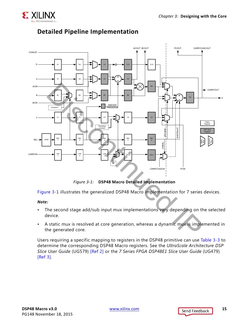

<span id="page-14-0"></span>

#### <span id="page-14-1"></span>**Detailed Pipeline Implementation**

*Figure 3-1:* **DSP48 Macro Detailed Implementation**

[Figure 3-1](#page-14-0) illustrates the generalized DSP48 Macro implementation for 7 series devices.

#### *Note:*

- The second stage add/sub input mux implementations vary depending on the selected device.
- A static mux is resolved at core generation, whereas a dynamic mux is implemented in the generated core.

Users requiring a specific mapping to registers in the DSP48 primitive can use [Table 3-3](#page-15-0) to determine the corresponding DSP48 Macro registers. See the *UltraScale Architecture DSP Slice User Guide* (UG579) [\[Ref 2\]](#page-29-5) or the *7 Series FPGA DSP48E1 Slice User Guide* (UG479) [\[Ref 3\]](#page-29-4).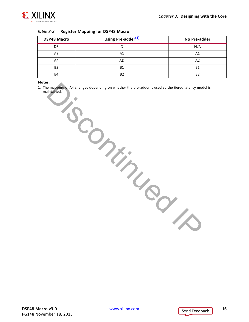

<span id="page-15-0"></span>

| Table 3-3: Register Mapping for DSP48 Macro |  |  |  |  |  |
|---------------------------------------------|--|--|--|--|--|
|---------------------------------------------|--|--|--|--|--|

| <b>DSP48 Macro</b> | Using Pre-adder <sup>(1)</sup> | No Pre-adder   |
|--------------------|--------------------------------|----------------|
| D <sub>3</sub>     |                                | N/A            |
| A3                 | Α1                             | Α1             |
| A4                 | AD                             | A <sub>2</sub> |
| B <sub>3</sub>     | <b>B1</b>                      | <b>B1</b>      |
| B4                 | B <sub>2</sub>                 | B2             |

#### **Notes:**

<span id="page-15-1"></span>1. The mapping of A4 changes depending on whether the pre-adder is used so the tiered latency model is maintained. **Discontinued IX**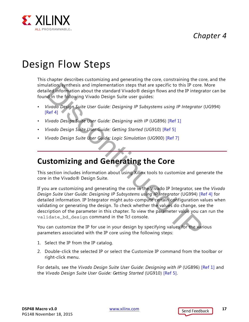## *Chapter 4*



# <span id="page-16-0"></span>Design Flow Steps

This chapter describes customizing and generating the core, constraining the core, and the simulation, synthesis and implementation steps that are specific to this IP core. More detailed information about the standard Vivado® design flows and the IP integrator can be found in the following Vivado Design Suite user guides:

- *Vivado Design Suite User Guide: Designing IP Subsystems using IP Integrator* (UG994)  $[Ref 4]$
- *Vivado Design Suite User Guide: Designing with IP* (UG896) [Ref 1]
- *Vivado Design Suite User Guide: Getting Started* (UG910) [Ref 5]
- *Vivado Design Suite User Guide: Logic Simulation* (UG900) [Ref 7]

# <span id="page-16-1"></span>**Customizing and Generating the Core**

This section includes information about using Xilinx tools to customize and generate the core in the Vivado® Design Suite.

If you are customizing and generating the core in the Vivado IP Integrator, see the *Vivado Design Suite User Guide: Designing IP Subsystems using IP Integrator* (UG994) [\[Ref 4\]](#page-29-6) for detailed information. IP Integrator might auto-compute certain configuration values when validating or generating the design. To check whether the values do change, see the description of the parameter in this chapter. To view the parameter value you can run the validate bd design command in the Tcl console. lied information about the standard Vivado® design flows and the Pinter<br>and in the following Vivado Design Suite user guides:<br>Id in the following Vivado Design Suite user guides:<br>
d'in the following Vivado Design Suite use

You can customize the IP for use in your design by specifying values for the various parameters associated with the IP core using the following steps:

- 1. Select the IP from the IP catalog.
- 2. Double-click the selected IP or select the Customize IP command from the toolbar or right-click menu.

For details, see the *Vivado Design Suite User Guide: Designing with IP* (UG896) [\[Ref 1\]](#page-29-3) and the *Vivado Design Suite User Guide: Getting Started* (UG910) [\[Ref 5\].](#page-29-7)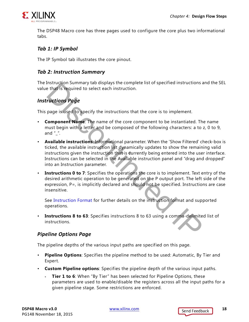

The DSP48 Macro core has three pages used to configure the core plus two informational tabs.

#### *Tab 1: IP Symbol*

The IP Symbol tab illustrates the core pinout.

#### *Tab 2: Instruction Summary*

The Instruction Summary tab displays the complete list of specified instructions and the SEL value that is required to select each instruction.

#### <span id="page-17-0"></span>*Instructions Page*

This page is used to specify the instructions that the core is to implement.

- **Component Name**: The name of the core component to be instantiated. The name must begin with a letter and be composed of the following characters: a to z, 0 to 9, and  $" "$ .
- **Available instructions**: Informational parameter. When the 'Show Filtered' check-box is ticked, the available instruction list dynamically updates to show the remaining valid instructions given the instruction that is currently being entered into the user interface. Instructions can be selected in the Available instruction panel and "drag and dropped" into an Instruction parameter. Instruction summary tao asplays the complete list of specified instructions and<br>the that is required to select each instruction.<br> **Property and the select select** each instruction.<br> **Property Property** and the composed of
- **Instructions 0 to 7**: Specifies the operations the core is to implement. Text entry of the desired arithmetic operation to be generated on the P output port. The left side of the expression, P=, is implicitly declared and should not be specified. Instructions are case insensitive.

See Instruction Format for further details on the instruction format and supported operations.

• **Instructions 8 to 63**: Specifies instructions 8 to 63 using a comma-delimited list of instructions.

#### <span id="page-17-1"></span>*Pipeline Options Page*

The pipeline depths of the various input paths are specified on this page.

- **Pipeline Options**: Specifies the pipeline method to be used: Automatic, By Tier and Expert.
- **Custom Pipeline options**: Specifies the pipeline depth of the various input paths.
	- **Tier 1 to 6**: When "By Tier" has been selected for Pipeline Options, these parameters are used to enable/disable the registers across all the input paths for a given pipeline stage. Some restrictions are enforced.

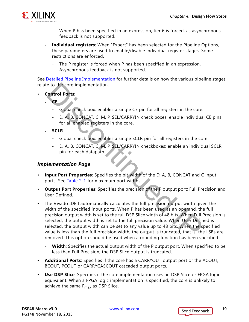

- When P has been specified in an expression, tier 6 is forced, as asynchronous feedback is not supported.
- ° **Individual registers**: When "Expert" has been selected for the Pipeline Options, these parameters are used to enable/disable individual register stages. Some restrictions are enforced.
	- The P register is forced when P has been specified in an expression. Asynchronous feedback is not supported.

See [Detailed Pipeline Implementation](#page-14-1) for further details on how the various pipeline stages relate to the core implementation.

- **Control Ports**:
	- **° CE**
		- Global check box: enables a single CE pin for all registers in the core.
		- D, A, B, CONCAT, C, M, P, SEL/CARRYIN check boxes: enable individual CE pins for all enabled registers in the core.
	- **° SCLR**
		- Global check box: enables a single SCLR pin for all registers in the core.
		- D, A, B, CONCAT, C, M, P, SEL/CARRYIN checkboxes: enable an individual SCLR pin for each datapath.

#### <span id="page-18-1"></span><span id="page-18-0"></span>*Implementation Page*

- **Input Port Properties**: Specifies the bit-width of the D, A, B, CONCAT and C input ports. See Table 2-1 for maximum port widths.
- **Output Port Properties**: Specifies the precision of the P output port; Full Precision and User Defined.
- The Vivado IDE I automatically calculates the full precision output width given the width of the specified input ports. When P has been used as an operand, the full precision output width is set to the full DSP Slice width of 48 bits. When Full Precision is selected, the output width is set to the full precision value. When User Defined is selected, the output width can be set to any value up to 48 bits. When the specified value is less than the full precision width, the output is truncated, that is, the LSBs are removed. This option should be used when a rounding function has been specified. **Example 19 and 19 and 19 and 19 and 19 and 19 and 19 and 19 and 19 and 19 and 19 and 19 and 19 and 19 and 19 and 19 and 19 and 19 and 19 and 19 and 19 and 19 and 19 and 19 and 19 and 19 and 19 and 19 and 19 and 19 and 19** 
	- Width: Specifies the actual output width of the P output port. When specified to be less than Full Precision, the DSP Slice output is truncated.
- **Additional Ports**: Specifies if the core has a CARRYOUT output port or the ACOUT, BCOUT, PCOUT or CARRYCASCOUT cascaded output ports.
- **Use DSP Slice**: Specifies if the core implementation uses an DSP Slice or FPGA logic equivalent. When a FPGA logic implementation is specified, the core is unlikely to achieve the same  $F_{\text{max}}$  as DSP Slice.

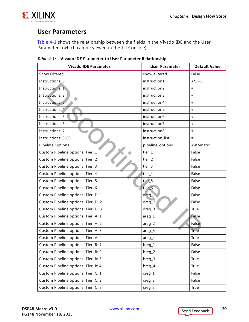

## **User Parameters**

[Table 4-1](#page-19-0) shows the relationship between the fields in the Vivado IDE and the User Parameters (which can be viewed in the Tcl Console).

| <b>Vivado IDE Parameter</b>         | <b>User Parameter</b> | <b>Default Value</b> |
|-------------------------------------|-----------------------|----------------------|
| <b>Show Filtered</b>                | show_filtered         | False                |
| Instructions: 0                     | instruction1          | $A*B+C$              |
| Instructions: 1                     | instruction2          | #                    |
| <b>Instructions: 2</b>              | instruction3          | #                    |
| <b>Instructions: 3</b>              | instruction4          | #                    |
| Instructions: 4                     | instruction5          | #                    |
| <b>Instructions: 5</b>              | instruction6          | #                    |
| Instructions: 6                     | instruction7          | #                    |
| <b>Instructions: 7</b>              | instruction8          | #                    |
| Instructions: 8-63                  | instruction_list      | #                    |
| Pipeline Options                    | pipeline_options      | Automatic            |
| Custom Pipeline options: Tier: 1    | tier_1                | False                |
| Custom Pipeline options: Tier: 2    | tier_2                | False                |
| Custom Pipeline options: Tier: 3    | tier_3                | False                |
| Custom Pipeline options: Tier: 4    | tier_4                | False                |
| Custom Pipeline options: Tier: 5    | tier_5                | False                |
| Custom Pipeline options: Tier: 6    | tier_6                | False                |
| Custom Pipeline options: Tier: D: 1 | $dreg_1$              | False                |
| Custom Pipeline options: Tier: D: 2 | $dreg_2$              | False                |
| Custom Pipeline options: Tier: D: 3 | dreg_3                | True                 |
| Custom Pipeline options: Tier: A: 1 | areg_1                | False                |
| Custom Pipeline options: Tier: A: 2 | $areg_2$              | False                |
| Custom Pipeline options: Tier: A: 3 | $areg_3$              | True                 |
| Custom Pipeline options: Tier: A: 4 | areg_4                | True                 |
| Custom Pipeline options: Tier: B: 1 | breg_1                | False                |
| Custom Pipeline options: Tier: B: 2 | breg_2                | False                |
| Custom Pipeline options: Tier: B: 3 | breg_3                | True                 |
| Custom Pipeline options: Tier: B: 4 | breg_4                | True                 |
| Custom Pipeline options: Tier: C: 1 | $creg_1$              | False                |
| Custom Pipeline options: Tier: C: 2 | $creg_2$              | False                |
| Custom Pipeline options: Tier: C: 3 | $creg_3$              | True                 |

<span id="page-19-1"></span><span id="page-19-0"></span>*Table 4-1:* **Vivado IDE Parameter to User Parameter Relationship**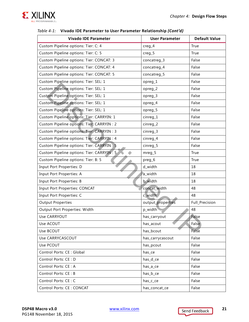

| <b>Vivado IDE Parameter</b>                | <b>User Parameter</b> | <b>Default Value</b> |
|--------------------------------------------|-----------------------|----------------------|
| Custom Pipeline options: Tier: C: 4        | $creg_4$              | True                 |
| Custom Pipeline options: Tier: C: 5        | $creg_5$              | True                 |
| Custom Pipeline options: Tier: CONCAT: 3   | concatreg_3           | False                |
| Custom Pipeline options: Tier: CONCAT: 4   | concatreg_4           | False                |
| Custom Pipeline options: Tier: CONCAT: 5   | concatreg_5           | False                |
| Custom Pipeline options: Tier: SEL: 1      | opreg_1               | False                |
| Custom Pipeline options: Tier: SEL: 1      | opreg_2               | False                |
| Custom Pipeline options: Tier: SEL: 1      | opreg_3               | False                |
| Custom Pipeline options: Tier: SEL: 1      | opreg_4               | False                |
| Custom Pipeline options: Tier: SEL: 1      | opreg_5               | False                |
| Custom Pipeline options: Tier: CARRYIN: 1  | cinreg_1              | False                |
| Custom Pipeline options: Tier: CARRYIN: 2  | cinreg_2              | False                |
| Custom Pipeline options: Tier; CARRYIN : 3 | cinreg_3              | False                |
| Custom Pipeline options: Tier: CARRYIN: 4  | cinreg_4              | False                |
| Custom Pipeline options: Tier: CARRYIN : 5 | cinreg_5              | False                |
| Custom Pipeline options: Tier: CARRYIN : 5 | $mreg_5$              | True                 |
| Custom Pipeline options: Tier: B: 5        | preg_6                | True                 |
| Input Port Properties: D                   | d_width               | 18                   |
| Input Port Properties: A                   | a_width               | 18                   |
| Input Port Properties: B                   | b_width               | 18                   |
| <b>Input Port Properties: CONCAT</b>       | concat_width          | 48                   |
| Input Port Properties: C                   | c_width               | 48                   |
| <b>Output Properties</b>                   | output_properties     | Full_Precision       |
| Output Port Properties: Width              | p_width               | 48                   |
| Use CARRYOUT                               | has_carryout          | False                |
| Use ACOUT                                  | has_acout             | False                |
| Use BCOUT                                  | has_bcout             | False                |
| Use CARRYCASCOUT                           | has_carrycascout      | False                |
| Use PCOUT                                  | has_pcout             | False                |
| Control Ports: CE : Global                 | has_ce                | False                |
| Control Ports: CE : D                      | has_d_ce              | False                |
| Control Ports: CE: A                       | has_a_ce              | False                |
| Control Ports: CE: B                       | has_b_ce              | False                |
| Control Ports: CE: C                       | has_c_ce              | False                |
| Control Ports: CE: CONCAT                  | has_concat_ce         | False                |

#### *Table 4-1:* **Vivado IDE Parameter to User Parameter Relationship** *(Cont'd)*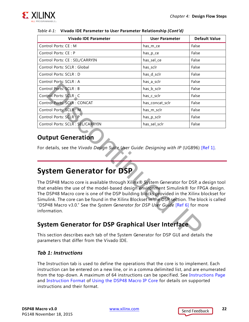

| <b>Vivado IDE Parameter</b>                                                                                                                                                                                                                                                                                                                                                                                                                                                            | <b>User Parameter</b> | <b>Default Value</b> |  |  |
|----------------------------------------------------------------------------------------------------------------------------------------------------------------------------------------------------------------------------------------------------------------------------------------------------------------------------------------------------------------------------------------------------------------------------------------------------------------------------------------|-----------------------|----------------------|--|--|
| Control Ports: CE: M                                                                                                                                                                                                                                                                                                                                                                                                                                                                   | has_m_ce              | False                |  |  |
| Control Ports: CE: P                                                                                                                                                                                                                                                                                                                                                                                                                                                                   | has_p_ce              | False                |  |  |
| Control Ports: CE : SEL/CARRYIN                                                                                                                                                                                                                                                                                                                                                                                                                                                        | has_sel_ce            | False                |  |  |
| Control Ports: SCLR : Global                                                                                                                                                                                                                                                                                                                                                                                                                                                           | has_sclr              | False                |  |  |
| Control Ports: SCLR : D                                                                                                                                                                                                                                                                                                                                                                                                                                                                | has_d_sclr            | False                |  |  |
| Control Ports: SCLR : A                                                                                                                                                                                                                                                                                                                                                                                                                                                                | has_a_sclr            | False                |  |  |
| Control Ports: SCLR : B                                                                                                                                                                                                                                                                                                                                                                                                                                                                | has_b_sclr            | False                |  |  |
| Control Ports: SCLR : C                                                                                                                                                                                                                                                                                                                                                                                                                                                                | has_c_sclr            | False                |  |  |
| Control Ports: SCLR : CONCAT                                                                                                                                                                                                                                                                                                                                                                                                                                                           | has_concat_sclr       | False                |  |  |
| Control Ports: SCLR : M                                                                                                                                                                                                                                                                                                                                                                                                                                                                | has_m_sclr            | False                |  |  |
| Control Ports: SCLR : P                                                                                                                                                                                                                                                                                                                                                                                                                                                                | has_p_sclr            | False                |  |  |
| Control Ports: SCLR : SEL/CARRYIN                                                                                                                                                                                                                                                                                                                                                                                                                                                      | has_sel_sclr          | False                |  |  |
| <b>Output Generation</b><br>For details, see the Vivado Design Suite User Guide: Designing with IP (UG896) [Ref 1].                                                                                                                                                                                                                                                                                                                                                                    |                       |                      |  |  |
| <b>System Generator for DSP</b>                                                                                                                                                                                                                                                                                                                                                                                                                                                        |                       |                      |  |  |
| The DSP48 Macro core is available through Xilinx® System Generator for DSP, a design tool<br>that enables the use of the model-based design environment Simulink® for FPGA design.<br>The DSP48 Macro core is one of the DSP building blocks provided in the Xilinx blockset for<br>Simulink. The core can be found in the Xilinx Blockset in the DSP section. The block is called<br>"DSP48 Macro v3.0." See the System Generator for DSP User Guide [Ref 6] for more<br>information. |                       |                      |  |  |
| <b>System Generator for DSP Graphical User Interface</b>                                                                                                                                                                                                                                                                                                                                                                                                                               |                       |                      |  |  |
| This section describes each tab of the System Generator for DSP GUI and details the                                                                                                                                                                                                                                                                                                                                                                                                    |                       |                      |  |  |

#### *Table 4-1:* **Vivado IDE Parameter to User Parameter Relationship** *(Cont'd)*

#### **Output Generation**

## <span id="page-21-0"></span>**System Generator for DSP**

#### **System Generator for DSP Graphical User Interface**

This section describes each tab of the System Generator for DSP GUI and details the parameters that differ from the Vivado IDE.

#### *Tab 1: Instructions*

The Instruction tab is used to define the operations that the core is to implement. Each instruction can be entered on a new line, or in a comma delimited list, and are enumerated from the top-down. A maximum of 64 instructions can be specified. See [Instructions Page](#page-17-0) and [Instruction Format](#page-8-4) of [Using the DSP48 Macro IP Core](#page-8-5) for details on supported instructions and their format.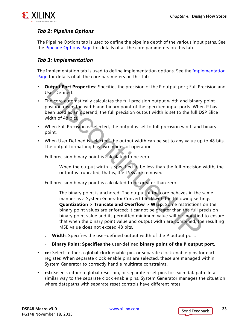

#### *Tab 2: Pipeline Options*

The Pipeline Options tab is used to define the pipeline depth of the various input paths. See the [Pipeline Options Page](#page-17-1) for details of all the core parameters on this tab.

#### *Tab 3: Implementation*

The Implementation tab is used to define implementation options. See the [Implementation](#page-18-1)  [Page](#page-18-1) for details of all the core parameters on this tab.

- **Output Port Properties:** Specifies the precision of the P output port; Full Precision and User Defined.
- The core automatically calculates the full precision output width and binary point position given the width and binary point of the specified input ports. When P has been used as an operand, the full precision output width is set to the full DSP Slice width of 48 bits.
- When Full Precision is selected, the output is set to full precision width and binary point.
- When User Defined is selected, the output width can be set to any value up to 48 bits. The output formatting has two modes of operation:

Full precision binary point is calculated to be zero.

When the output width is specified to be less than the full precision width, the output is truncated, that is, the LSBs are removed.

Full precision binary point is calculated to be greater than zero.

- The binary point is anchored. The output of the core behaves in the same manner as a System Generator Convert block with the following settings: **Quantization > Truncate and Overflow > Wrap**. Some restrictions on the binary point values are enforced; it cannot be greater than the full precision binary point value and its permitted minimum value will be modified to ensure that when the binary point value and output width are combined, the resulting MSB value does not exceed 48 bits. **Dutput Port Properties:** Specifies the precision of the P output port; Full Precision  $\frac{1}{2}$  Defined.<br>
The core automatically calculates the full precision output width and binary<br>
boostiton given the width and binary
- ° **Width**: Specifies the user-defined output width of the P output port.
- ° **Binary Point: Specifies the** user-defined **binary point of the P output port.**
- **ce:** Selects either a global clock enable pin, or separate clock enable pins for each register. When separate clock enable pins are selected, these are managed within System Generator to correctly handle multirate constraints.
- **rst:** Selects either a global reset pin, or separate reset pins for each datapath. In a similar way to the separate clock enable pins, System Generator manages the situation where datapaths with separate reset controls have different rates.

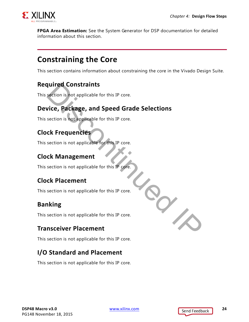

**FPGA Area Estimation:** See the System Generator for DSP documentation for detailed information about this section.

## <span id="page-23-0"></span>**Constraining the Core**

This section contains information about constraining the core in the Vivado Design Suite.

#### **Required Constraints**

This section is not applicable for this IP core.

# **Device, Package, and Speed Grade Selections** quired Constraints<br>
section is not applicable for this IP core.<br>
vice, Package, and Speed Grade Selections<br>
section is not applicable for this IP core.<br>
ck Frequencies<br>
section is not applicable for this IP core.<br>
ck Place

This section is not applicable for this IP core.

## **Clock Frequencies**

This section is not applicable for this IP core.

#### **Clock Management**

This section is not applicable for this IP core.

#### **Clock Placement**

This section is not applicable for this IP core.

## **Banking**

This section is not applicable for this IP core.

#### **Transceiver Placement**

This section is not applicable for this IP core.

## **I/O Standard and Placement**

This section is not applicable for this IP core.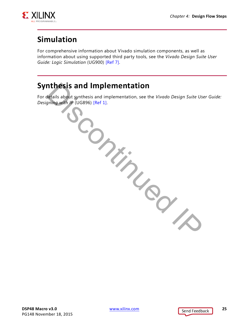

# <span id="page-24-0"></span>**Simulation**

For comprehensive information about Vivado simulation components, as well as information about using supported third party tools, see the *Vivado Design Suite User Guide: Logic Simulation* (UG900) [\[Ref 7\]](#page-29-8).

# <span id="page-24-1"></span>**Synthesis and Implementation**

For details about synthesis and implementation, see the *Vivado Design Suite User Guide: Designing with IP* (UG896) [Ref 1]. **SCONTINUED IX** 

**DSP48 Macro v3.0** [www.xilinx.com](http://www.xilinx.com) **25** PG148 November 18, 2015

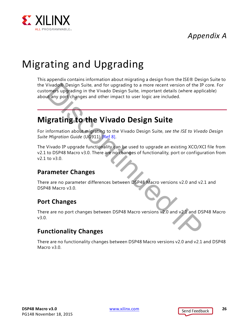# *Appendix A*



# <span id="page-25-0"></span>Migrating and Upgrading

This appendix contains information about migrating a design from the ISE® Design Suite to the Vivado® Design Suite, and for upgrading to a more recent version of the IP core. For customers upgrading in the Vivado Design Suite, important details (where applicable) about any port changes and other impact to user logic are included. Vivado ® Design Suite, and for upgrading to a more recent versi[on](#page-29-10) of the IP<br>
Discontinued IP in the Vivado Design Suite, important details (where applit<br>
Leavy port changes and other impact to user logic are included.<br>
Exa

# <span id="page-25-1"></span>**Migrating to the Vivado Design Suite**

For information about migrating to the Vivado Design Suite, *see the ISE to Vivado Design Suite Migration Guide* (UG911) [Ref 8].

The Vivado IP upgrade functionality can be used to upgrade an existing XCO/XCI file from v2.1 to DSP48 Macro v3.0. There are no changes of functionality, port or configuration from v2.1 to v3.0.

#### **Parameter Changes**

There are no parameter differences between DSP48 Macro versions v2.0 and v2.1 and DSP48 Macro v3.0.

#### **Port Changes**

There are no port changes between DSP48 Macro versions v2.0 and v2.1 and DSP48 Macro v3.0.

#### **Functionality Changes**

There are no functionality changes between DSP48 Macro versions v2.0 and v2.1 and DSP48 Macro v3.0.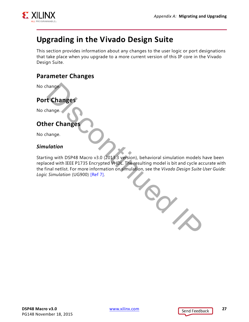

# <span id="page-26-0"></span>**Upgrading in the Vivado Design Suite**

This section provides information about any changes to the user logic or port designations that take place when you upgrade to a more current version of this IP core in the Vivado Design Suite.

#### **Parameter Changes**

No change.

## **Port Changes**

No change.

#### **Other Changes**

No change.

#### *Simulation*

Starting with DSP48 Macro v3.0 (2013.3 version), behavioral simulation models have been replaced with IEEE P1735 Encrypted VHDL. The resulting model is bit and cycle accurate with the final netlist. For more information on simulation, see the *Vivado Design Suite User Guide: Logic Simulation* (UG900) [Ref 7]. Discontinued IP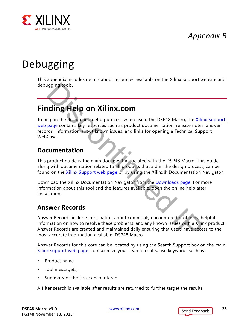*Appendix B*



# <span id="page-27-0"></span>Debugging

This appendix includes details about resources available on the Xilinx Support website and debugging tools.

# <span id="page-27-1"></span>**Finding Help on Xilinx.com**

To help in the design and debug process when using the DSP48 Macro, the [Xilinx Support](http://www.xilinx.com/support)  [web page](http://www.xilinx.com/support) contains key resources such as product documentation, release notes, answer records, information about known issues, and links for opening a Technical Support WebCase. **Exampl[e](http://www.xilinx.com/support/download.html) 19 and 19 and 19 and 19 and 19 and 19 and 19 and 19 and 19 and 19 and 19 and 19 and 19 and 19 and 19 and 19 and 19 and 19 and 19 and 19 and 19 and 19 and 19 and 19 and 19 and 19 and 19 and 19 and 19 and 19 and 19** 

#### **Documentation**

This product guide is the main document associated with the DSP48 Macro. This guide, along with documentation related to all products that aid in the design process, can be found on the Xilinx Support web page or by using the Xilinx® Documentation Navigator.

Download the Xilinx Documentation Navigator from the Downloads page. For more information about this tool and the features available, open the online help after installation.

#### **Answer Records**

Answer Records include information about commonly encountered problems, helpful information on how to resolve these problems, and any known issues with a Xilinx product. Answer Records are created and maintained daily ensuring that users have access to the most accurate information available. DSP48 Macro

Answer Records for this core can be located by using the Search Support box on the main [Xilinx support web page](http://www.xilinx.com/support). To maximize your search results, use keywords such as:

- Product name
- Tool message(s)
- Summary of the issue encountered

A filter search is available after results are returned to further target the results.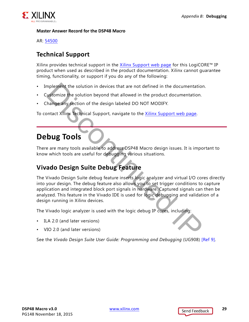

#### **Master Answer Record for the DSP48 Macro**

AR: [54500](http://www.xilinx.com/support/answers/54500.htm)

#### **Technical Support**

Xilinx provides technical support in the [Xilinx Support web page](http://www.xilinx.com/support) for this LogiCORE<sup>™</sup> IP product when used as described in the product documentation. Xilinx cannot guarantee timing, functionality, or support if you do any of the following:

- Implement the solution in devices that are not defined in the documentation.
- Customize the solution beyond that allowed in the product documentation.
- Change any section of the design labeled DO NOT MODIFY.

To contact Xilinx Technical Support, navigate to the Xilinx Support web page.

## <span id="page-28-0"></span>**Debug Tools**

There are many tools available to address DSP48 Macro design issues. It is important to know which tools are useful for debugging various situations.

## **Vivado Design Suite Debug Feature**

The Vivado Design Suite debug feature inserts logic analyzer and virtual I/O cores directly into your design. The debug feature also allows you to set trigger conditions to capture application and integrated block port signals in hardware. Captured signals can then be analyzed. This feature in the Vivado IDE is used for logic debugging and validation of a design running in Xilinx devices. mplement the solution in devices that are not defined in the documentation<br>
uscomize the solution beyond that allowed in the product documentation.<br>
hange any section of the design labeled DO NOT MODIFY.<br>
Untact Xilinx Tec

The Vivado logic analyzer is used with the logic debug IP cores, including:

- ILA 2.0 (and later versions)
- VIO 2.0 (and later versions)

See the *Vivado Design Suite User Guide: Programming and Debugging* (UG908) [\[Ref 9\].](#page-29-11)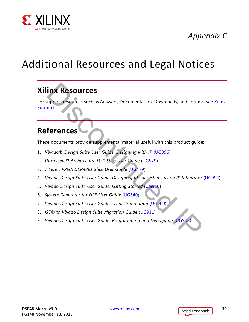

# *Appendix C*

# <span id="page-29-0"></span>Additional Resources and Legal Notices

# <span id="page-29-1"></span>**Xilinx Resources**

For support resources such as Answers, Documentation, Downloads, and Forums, see Xilinx [Support.](http://www.xilinx.com/support) **THE RESOUTCES**<br>
Support resources such as Answers, Documentation, Downloads, and Forums<br>
<u>Sort.</u><br>
The documents provide supplemental material useful with this product guide<br>
(ivado® Design Suite User Guide, Design[in](http://www.xilinx.com/cgi-bin/docs/ndoc?t=user+guide;d=ug479_7Series_DSP48E1.pdf)g wit

## <span id="page-29-2"></span>**References**

These documents provide supplemental material useful with this product guide:

- <span id="page-29-3"></span>1. *Vivado® Design Suite User Guide, Designing with IP* (UG896)
- <span id="page-29-5"></span>2. *UltraScale*™ *Architecture DSP Slice User Guide* (UG579)
- <span id="page-29-4"></span>3. *7 Series FPGA DSP48E1 Slice User Guide* (UG479)
- <span id="page-29-6"></span>4. *Vivado Design Suite User Guide: Designing IP Subsystems using IP Integrator* ([UG994\)](http://www.xilinx.com/cgi-bin/docs/rdoc?v=latest;d=ug994-vivado-ip-subsystems.pdf)
- <span id="page-29-7"></span>5. *Vivado Design Suite User Guide: Getting Started* (UG910)
- <span id="page-29-9"></span>6. *System Generator for DSP User Guide* (UG640)
- <span id="page-29-8"></span>7. *Vivado Design Suite User Guide - Logic Simulation* (UG900)
- <span id="page-29-10"></span>8. *ISE® to Vivado Design Suite Migration Guide* (UG911)
- <span id="page-29-11"></span>9. *Vivado Design Suite User Guide: Programming and Debugging* (UG908)